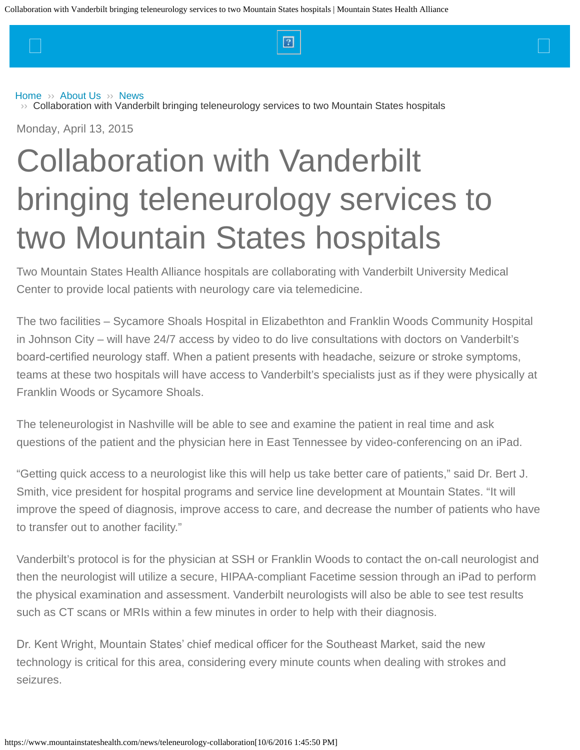<span id="page-0-0"></span> $\Box$  and the set of the set of the set of  $\Box$  and the set of the set of the set of  $\Box$ 

#### [Home](https://www.mountainstateshealth.com/)  $\gg$  [About Us](https://www.mountainstateshealth.com/about-us)  $\gg$  [News](https://www.mountainstateshealth.com/news)

 $\rightarrow$  [Collaboration with Vanderbilt bringing teleneurology services to two Mountain States hospitals](#page-0-0)

Monday, April 13, 2015

# Collaboration with Vanderbilt bringing teleneurology services to two Mountain States hospitals

Two Mountain States Health Alliance hospitals are collaborating with Vanderbilt University Medical Center to provide local patients with neurology care via telemedicine.

The two facilities – Sycamore Shoals Hospital in Elizabethton and Franklin Woods Community Hospital in Johnson City – will have 24/7 access by video to do live consultations with doctors on Vanderbilt's board-certifed neurology staff. When a patient presents with headache, seizure or stroke symptoms, teams at these two hospitals will have access to Vanderbilt's specialists just as if they were physically at Franklin Woods or Sycamore Shoals.

The teleneurologist in Nashville will be able to see and examine the patient in real time and ask questions of the patient and the physician here in East Tennessee by video-conferencing on an iPad.

"Getting quick access to a neurologist like this will help us take better care of patients," said Dr. Bert J. Smith, vice president for hospital programs and service line development at Mountain States. "It will improve the speed of diagnosis, improve access to care, and decrease the number of patients who have to transfer out to another facility."

Vanderbilt's protocol is for the physician at SSH or Franklin Woods to contact the on-call neurologist and then the neurologist will utilize a secure, HIPAA-compliant Facetime session through an iPad to perform the physical examination and assessment. Vanderbilt neurologists will also be able to see test results such as CT scans or MRIs within a few minutes in order to help with their diagnosis.

Dr. Kent Wright, Mountain States' chief medical officer for the Southeast Market, said the new technology is critical for this area, considering every minute counts when dealing with strokes and seizures.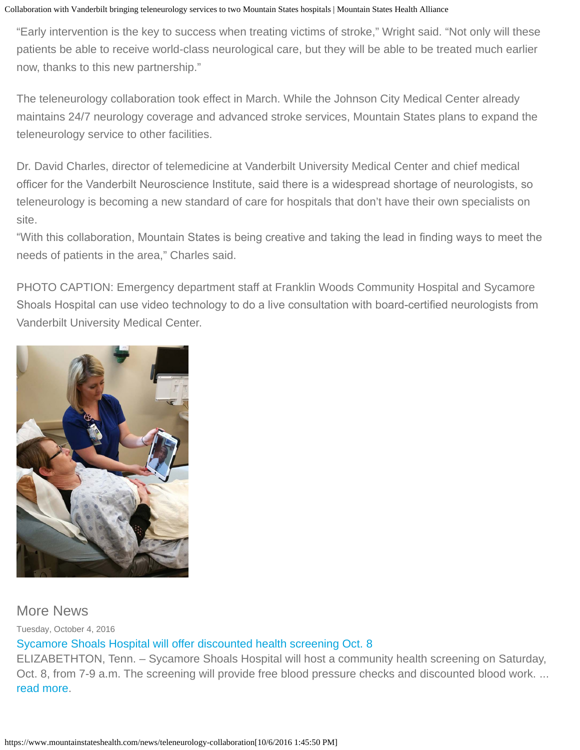Collaboration with Vanderbilt bringing teleneurology services to two Mountain States hospitals | Mountain States Health Alliance

"Early intervention is the key to success when treating victims of stroke," Wright said. "Not only will these patients be able to receive world-class neurological care, but they will be able to be treated much earlier now, thanks to this new partnership."

The teleneurology collaboration took effect in March. While the Johnson City Medical Center already maintains 24/7 neurology coverage and advanced stroke services, Mountain States plans to expand the teleneurology service to other facilities.

Dr. David Charles, director of telemedicine at Vanderbilt University Medical Center and chief medical officer for the Vanderbilt Neuroscience Institute, said there is a widespread shortage of neurologists, so teleneurology is becoming a new standard of care for hospitals that don't have their own specialists on site.

"With this collaboration, Mountain States is being creative and taking the lead in fnding ways to meet the needs of patients in the area," Charles said.

PHOTO CAPTION: Emergency department staff at Franklin Woods Community Hospital and Sycamore Shoals Hospital can use video technology to do a live consultation with board-certifed neurologists from Vanderbilt University Medical Center.



## More News

Tuesday, October 4, 2016

## [Sycamore Shoals Hospital will offer discounted health screening Oct. 8](https://www.mountainstateshealth.com/news/Sycamore-Shoals-Hospital-to-offer-discounted-health-screening-Oct.-8)

ELIZABETHTON, Tenn. – Sycamore Shoals Hospital will host a community health screening on Saturday, Oct. 8, from 7-9 a.m. The screening will provide free blood pressure checks and discounted blood work. ... [read more](https://www.mountainstateshealth.com/news/Sycamore-Shoals-Hospital-to-offer-discounted-health-screening-Oct.-8).